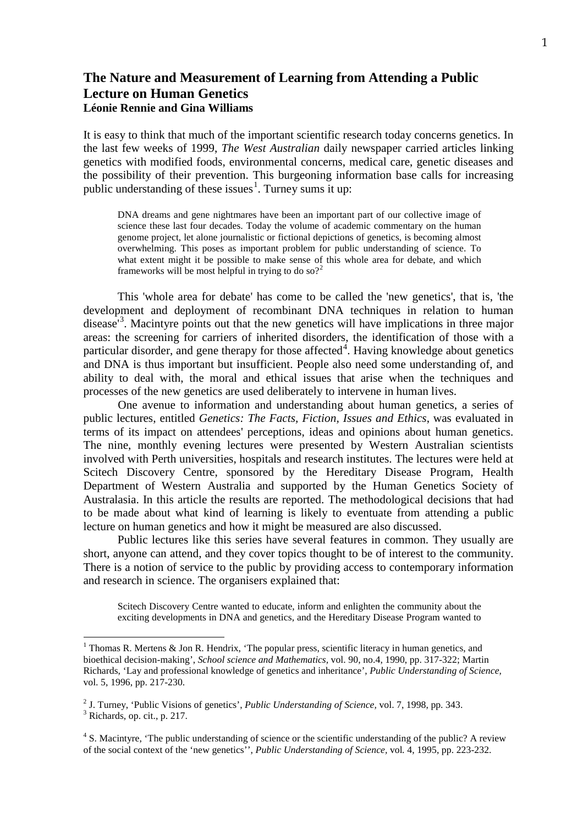# **The Nature and Measurement of Learning from Attending a Public Lecture on Human Genetics Léonie Rennie and Gina Williams**

It is easy to think that much of the important scientific research today concerns genetics. In the last few weeks of 1999, *The West Australian* daily newspaper carried articles linking genetics with modified foods, environmental concerns, medical care, genetic diseases and the possibility of their prevention. This burgeoning information base calls for increasing public understanding of these issues<sup>[1](#page-0-0)</sup>. Turney sums it up:

DNA dreams and gene nightmares have been an important part of our collective image of science these last four decades. Today the volume of academic commentary on the human genome project, let alone journalistic or fictional depictions of genetics, is becoming almost overwhelming. This poses as important problem for public understanding of science. To what extent might it be possible to make sense of this whole area for debate, and which frameworks will be most helpful in trying to do so?<sup>[2](#page-0-1)</sup>

This 'whole area for debate' has come to be called the 'new genetics', that is, 'the development and deployment of recombinant DNA techniques in relation to human disease<sup>[3](#page-0-2)</sup>. Macintyre points out that the new genetics will have implications in three major areas: the screening for carriers of inherited disorders, the identification of those with a particular disorder, and gene therapy for those affected $4$ . Having knowledge about genetics and DNA is thus important but insufficient. People also need some understanding of, and ability to deal with, the moral and ethical issues that arise when the techniques and processes of the new genetics are used deliberately to intervene in human lives.

One avenue to information and understanding about human genetics, a series of public lectures, entitled *Genetics: The Facts, Fiction, Issues and Ethics*, was evaluated in terms of its impact on attendees' perceptions, ideas and opinions about human genetics. The nine, monthly evening lectures were presented by Western Australian scientists involved with Perth universities, hospitals and research institutes. The lectures were held at Scitech Discovery Centre, sponsored by the Hereditary Disease Program, Health Department of Western Australia and supported by the Human Genetics Society of Australasia. In this article the results are reported. The methodological decisions that had to be made about what kind of learning is likely to eventuate from attending a public lecture on human genetics and how it might be measured are also discussed.

Public lectures like this series have several features in common. They usually are short, anyone can attend, and they cover topics thought to be of interest to the community. There is a notion of service to the public by providing access to contemporary information and research in science. The organisers explained that:

Scitech Discovery Centre wanted to educate, inform and enlighten the community about the exciting developments in DNA and genetics, and the Hereditary Disease Program wanted to

<span id="page-0-0"></span><sup>&</sup>lt;sup>1</sup> Thomas R. Mertens & Jon R. Hendrix, 'The popular press, scientific literacy in human genetics, and bioethical decision-making', *School science and Mathematics,* vol. 90, no.4, 1990, pp. 317-322; Martin Richards, 'Lay and professional knowledge of genetics and inheritance', *Public Understanding of Science,*  vol. 5, 1996, pp. 217-230.

<span id="page-0-2"></span><span id="page-0-1"></span><sup>&</sup>lt;sup>2</sup> J. Turney, 'Public Visions of genetics', *Public Understanding of Science*, vol. 7, 1998, pp. 343.<br><sup>3</sup> Richards, op. cit., p. 217.

<span id="page-0-3"></span><sup>&</sup>lt;sup>4</sup> S. Macintyre, 'The public understanding of science or the scientific understanding of the public? A review of the social context of the 'new genetics'', *Public Understanding of Science,* vol*.* 4, 1995, pp. 223-232.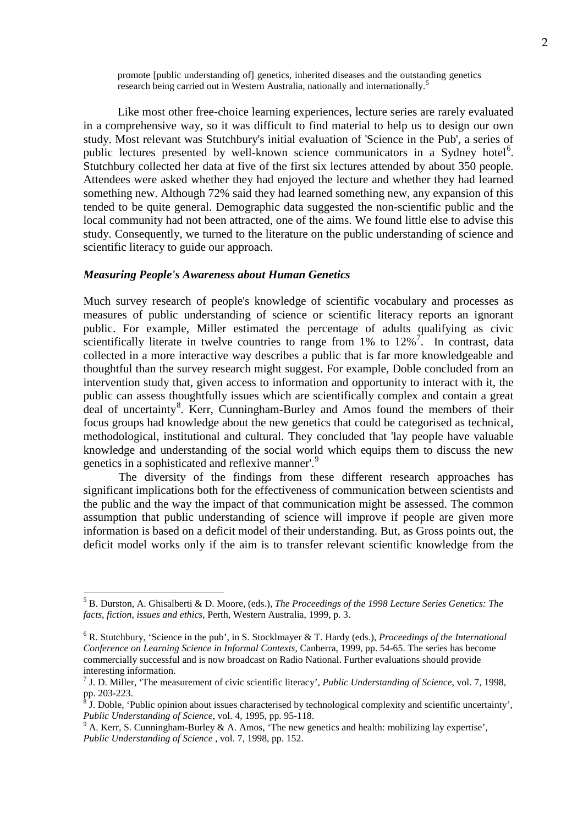promote [public understanding of] genetics, inherited diseases and the outstanding genetics research being carried out in Western Australia, nationally and internationally.<sup>[5](#page-1-0)</sup>

Like most other free-choice learning experiences, lecture series are rarely evaluated in a comprehensive way, so it was difficult to find material to help us to design our own study. Most relevant was Stutchbury's initial evaluation of 'Science in the Pub', a series of public lectures presented by well-known science communicators in a Sydney hotel<sup>[6](#page-1-1)</sup>. Stutchbury collected her data at five of the first six lectures attended by about 350 people. Attendees were asked whether they had enjoyed the lecture and whether they had learned something new. Although 72% said they had learned something new, any expansion of this tended to be quite general. Demographic data suggested the non-scientific public and the local community had not been attracted, one of the aims. We found little else to advise this study. Consequently, we turned to the literature on the public understanding of science and scientific literacy to guide our approach.

#### *Measuring People's Awareness about Human Genetics*

Much survey research of people's knowledge of scientific vocabulary and processes as measures of public understanding of science or scientific literacy reports an ignorant public. For example, Miller estimated the percentage of adults qualifying as civic scientifically literate in twelve countries to range from  $1\%$  to  $12\%$ <sup>[7](#page-1-2)</sup>. In contrast, data collected in a more interactive way describes a public that is far more knowledgeable and thoughtful than the survey research might suggest. For example, Doble concluded from an intervention study that, given access to information and opportunity to interact with it, the public can assess thoughtfully issues which are scientifically complex and contain a great deal of uncertainty<sup>[8](#page-1-3)</sup>. Kerr, Cunningham-Burley and Amos found the members of their focus groups had knowledge about the new genetics that could be categorised as technical, methodological, institutional and cultural. They concluded that 'lay people have valuable knowledge and understanding of the social world which equips them to discuss the new genetics in a sophisticated and reflexive manner'.<sup>[9](#page-1-4)</sup>

The diversity of the findings from these different research approaches has significant implications both for the effectiveness of communication between scientists and the public and the way the impact of that communication might be assessed. The common assumption that public understanding of science will improve if people are given more information is based on a deficit model of their understanding. But, as Gross points out, the deficit model works only if the aim is to transfer relevant scientific knowledge from the

<span id="page-1-0"></span> <sup>5</sup> B. Durston, A. Ghisalberti & D. Moore, (eds.), *The Proceedings of the 1998 Lecture Series Genetics: The facts, fiction, issues and ethics*, Perth, Western Australia, 1999, p. 3.

<span id="page-1-1"></span><sup>6</sup> R. Stutchbury, 'Science in the pub', in S. Stocklmayer & T. Hardy (eds.), *Proceedings of the International Conference on Learning Science in Informal Contexts,* Canberra, 1999, pp. 54-65. The series has become commercially successful and is now broadcast on Radio National. Further evaluations should provide interesting information.

<span id="page-1-2"></span><sup>7</sup> J. D. Miller, 'The measurement of civic scientific literacy', *Public Understanding of Science,* vol. 7, 1998,

<span id="page-1-3"></span> $\delta$  J. Doble, 'Public opinion about issues characterised by technological complexity and scientific uncertainty', *Public Understanding of Science*, vol. 4, 1995, pp. 95-118.

<span id="page-1-4"></span><sup>&</sup>lt;sup>9</sup> A. Kerr, S. Cunning ham-Burley & A. Amos, 'The new genetics and health: mobilizing lay expertise', *Public Understanding of Science* , vol. 7, 1998, pp. 152.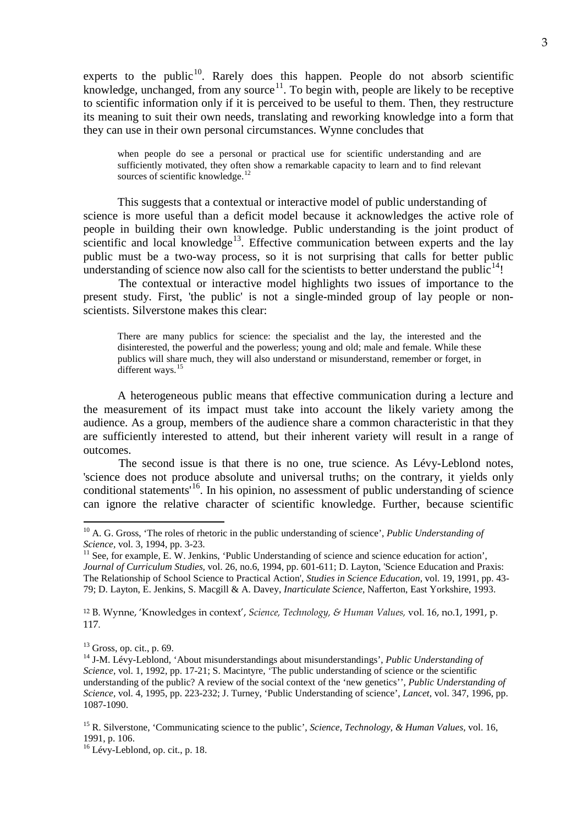experts to the public<sup>10</sup>. Rarely does this happen. People do not absorb scientific knowledge, unchanged, from any source<sup>[11](#page-2-1)</sup>. To begin with, people are likely to be receptive to scientific information only if it is perceived to be useful to them. Then, they restructure its meaning to suit their own needs, translating and reworking knowledge into a form that they can use in their own personal circumstances. Wynne concludes that

when people do see a personal or practical use for scientific understanding and are sufficiently motivated, they often show a remarkable capacity to learn and to find relevant sources of scientific knowledge.<sup>[12](#page-2-2)</sup>

This suggests that a contextual or interactive model of public understanding of science is more useful than a deficit model because it acknowledges the active role of people in building their own knowledge. Public understanding is the joint product of scientific and local knowledge<sup>[13](#page-2-3)</sup>. Effective communication between experts and the lay public must be a two-way process, so it is not surprising that calls for better public understanding of science now also call for the scientists to better understand the public<sup>[14](#page-2-4)</sup>!

The contextual or interactive model highlights two issues of importance to the present study. First, 'the public' is not a single-minded group of lay people or nonscientists. Silverstone makes this clear:

There are many publics for science: the specialist and the lay, the interested and the disinterested, the powerful and the powerless; young and old; male and female. While these publics will share much, they will also understand or misunderstand, remember or forget, in different ways.<sup>[15](#page-2-5)</sup>

A heterogeneous public means that effective communication during a lecture and the measurement of its impact must take into account the likely variety among the audience. As a group, members of the audience share a common characteristic in that they are sufficiently interested to attend, but their inherent variety will result in a range of outcomes.

The second issue is that there is no one, true science. As Lévy-Leblond notes, 'science does not produce absolute and universal truths; on the contrary, it yields only conditional statements<sup>[16](#page-2-6)</sup>. In his opinion, no assessment of public understanding of science can ignore the relative character of scientific knowledge. Further, because scientific

<span id="page-2-2"></span><sup>12</sup> B. Wynne, 'Knowledges in context', *Science, Technology, & Human Values,* vol. 16, no.1, 1991, p. 117.

<span id="page-2-0"></span> <sup>10</sup> A. G. Gross, 'The roles of rhetoric in the public understanding of science', *Public Understanding of Science,* vol. 3, 1994, pp. 3-23.

<span id="page-2-1"></span><sup>&</sup>lt;sup>11</sup> See, for example, E. W. Jenkins, 'Public Understanding of science and science education for action', *Journal of Curriculum Studies,* vol. 26, no.6, 1994, pp. 601-611; D. Layton, 'Science Education and Praxis: The Relationship of School Science to Practical Action', *Studies in Science Education*, vol. 19, 1991, pp. 43- 79; D. Layton, E. Jenkins, S. Macgill & A. Davey, *Inarticulate Science*, Nafferton, East Yorkshire, 1993.

<span id="page-2-4"></span><span id="page-2-3"></span><sup>&</sup>lt;sup>13</sup> Gross, op. cit., p. 69.<br><sup>14</sup> J-M. Lévy-Leblond, 'About misunderstandings about misunderstandings', *Public Understanding of Science,* vol. 1, 1992, pp. 17-21; S. Macintyre, 'The public understanding of science or the scientific understanding of the public? A review of the social context of the 'new genetics'', *Public Understanding of Science,* vol. 4, 1995, pp. 223-232; J. Turney, 'Public Understanding of science', *Lancet,* vol. 347, 1996, pp. 1087-1090.

<span id="page-2-5"></span><sup>15</sup> R. Silverstone, 'Communicating science to the public', *Science, Technology, & Human Values,* vol. 16, 1991, p. 106.

<span id="page-2-6"></span><sup>&</sup>lt;sup>16</sup> Lévy-Leblond, op. cit., p. 18.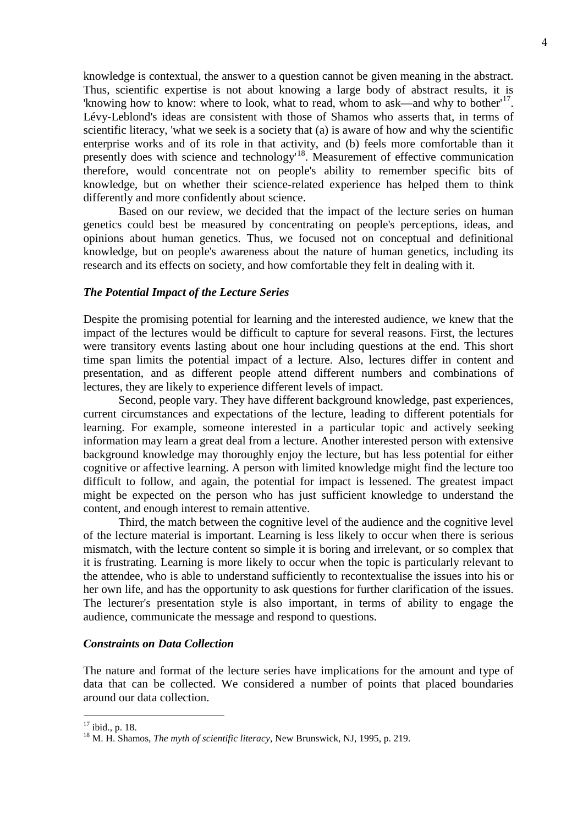knowledge is contextual, the answer to a question cannot be given meaning in the abstract. Thus, scientific expertise is not about knowing a large body of abstract results, it is 'knowing how to know: where to look, what to read, whom to ask—and why to bother<sup> $17$ </sup>. Lévy-Leblond's ideas are consistent with those of Shamos who asserts that, in terms of scientific literacy, 'what we seek is a society that (a) is aware of how and why the scientific enterprise works and of its role in that activity, and (b) feels more comfortable than it presently does with science and technology<sup>[18](#page-3-1)</sup>. Measurement of effective communication therefore, would concentrate not on people's ability to remember specific bits of knowledge, but on whether their science-related experience has helped them to think differently and more confidently about science.

Based on our review, we decided that the impact of the lecture series on human genetics could best be measured by concentrating on people's perceptions, ideas, and opinions about human genetics. Thus, we focused not on conceptual and definitional knowledge, but on people's awareness about the nature of human genetics, including its research and its effects on society, and how comfortable they felt in dealing with it.

### *The Potential Impact of the Lecture Series*

Despite the promising potential for learning and the interested audience, we knew that the impact of the lectures would be difficult to capture for several reasons. First, the lectures were transitory events lasting about one hour including questions at the end. This short time span limits the potential impact of a lecture. Also, lectures differ in content and presentation, and as different people attend different numbers and combinations of lectures, they are likely to experience different levels of impact.

Second, people vary. They have different background knowledge, past experiences, current circumstances and expectations of the lecture, leading to different potentials for learning. For example, someone interested in a particular topic and actively seeking information may learn a great deal from a lecture. Another interested person with extensive background knowledge may thoroughly enjoy the lecture, but has less potential for either cognitive or affective learning. A person with limited knowledge might find the lecture too difficult to follow, and again, the potential for impact is lessened. The greatest impact might be expected on the person who has just sufficient knowledge to understand the content, and enough interest to remain attentive.

Third, the match between the cognitive level of the audience and the cognitive level of the lecture material is important. Learning is less likely to occur when there is serious mismatch, with the lecture content so simple it is boring and irrelevant, or so complex that it is frustrating. Learning is more likely to occur when the topic is particularly relevant to the attendee, who is able to understand sufficiently to recontextualise the issues into his or her own life, and has the opportunity to ask questions for further clarification of the issues. The lecturer's presentation style is also important, in terms of ability to engage the audience, communicate the message and respond to questions.

#### *Constraints on Data Collection*

The nature and format of the lecture series have implications for the amount and type of data that can be collected. We considered a number of points that placed boundaries around our data collection.

<span id="page-3-1"></span>

<span id="page-3-0"></span><sup>&</sup>lt;sup>17</sup> ibid., p. 18.<br><sup>18</sup> M. H. Shamos, *The myth of scientific literacy*, New Brunswick, NJ, 1995, p. 219.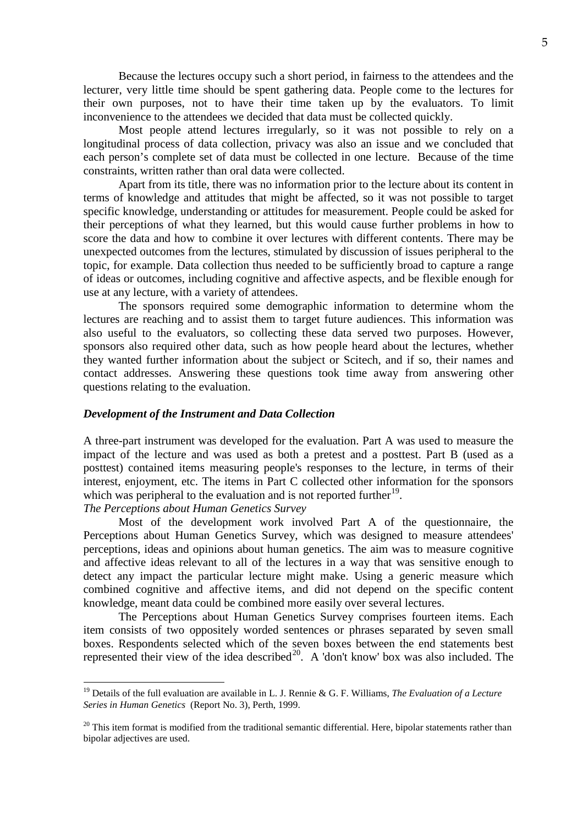Because the lectures occupy such a short period, in fairness to the attendees and the lecturer, very little time should be spent gathering data. People come to the lectures for their own purposes, not to have their time taken up by the evaluators. To limit inconvenience to the attendees we decided that data must be collected quickly.

Most people attend lectures irregularly, so it was not possible to rely on a longitudinal process of data collection, privacy was also an issue and we concluded that each person's complete set of data must be collected in one lecture. Because of the time constraints, written rather than oral data were collected.

Apart from its title, there was no information prior to the lecture about its content in terms of knowledge and attitudes that might be affected, so it was not possible to target specific knowledge, understanding or attitudes for measurement. People could be asked for their perceptions of what they learned, but this would cause further problems in how to score the data and how to combine it over lectures with different contents. There may be unexpected outcomes from the lectures, stimulated by discussion of issues peripheral to the topic, for example. Data collection thus needed to be sufficiently broad to capture a range of ideas or outcomes, including cognitive and affective aspects, and be flexible enough for use at any lecture, with a variety of attendees.

The sponsors required some demographic information to determine whom the lectures are reaching and to assist them to target future audiences. This information was also useful to the evaluators, so collecting these data served two purposes. However, sponsors also required other data, such as how people heard about the lectures, whether they wanted further information about the subject or Scitech, and if so, their names and contact addresses. Answering these questions took time away from answering other questions relating to the evaluation.

### *Development of the Instrument and Data Collection*

A three-part instrument was developed for the evaluation. Part A was used to measure the impact of the lecture and was used as both a pretest and a posttest. Part B (used as a posttest) contained items measuring people's responses to the lecture, in terms of their interest, enjoyment, etc. The items in Part C collected other information for the sponsors which was peripheral to the evaluation and is not reported further<sup>[19](#page-4-0)</sup>.

*The Perceptions about Human Genetics Survey*

Most of the development work involved Part A of the questionnaire, the Perceptions about Human Genetics Survey, which was designed to measure attendees' perceptions, ideas and opinions about human genetics. The aim was to measure cognitive and affective ideas relevant to all of the lectures in a way that was sensitive enough to detect any impact the particular lecture might make. Using a generic measure which combined cognitive and affective items, and did not depend on the specific content knowledge, meant data could be combined more easily over several lectures.

The Perceptions about Human Genetics Survey comprises fourteen items. Each item consists of two oppositely worded sentences or phrases separated by seven small boxes. Respondents selected which of the seven boxes between the end statements best represented their view of the idea described<sup>[20](#page-4-1)</sup>. A 'don't know' box was also included. The

<span id="page-4-0"></span> <sup>19</sup> Details of the full evaluation are available in L. J. Rennie & G. F. Williams, *The Evaluation of a Lecture Series in Human Genetics* (Report No. 3), Perth, 1999.

<span id="page-4-1"></span> $20$  This item format is modified from the traditional semantic differential. Here, bipolar statements rather than bipolar adjectives are used.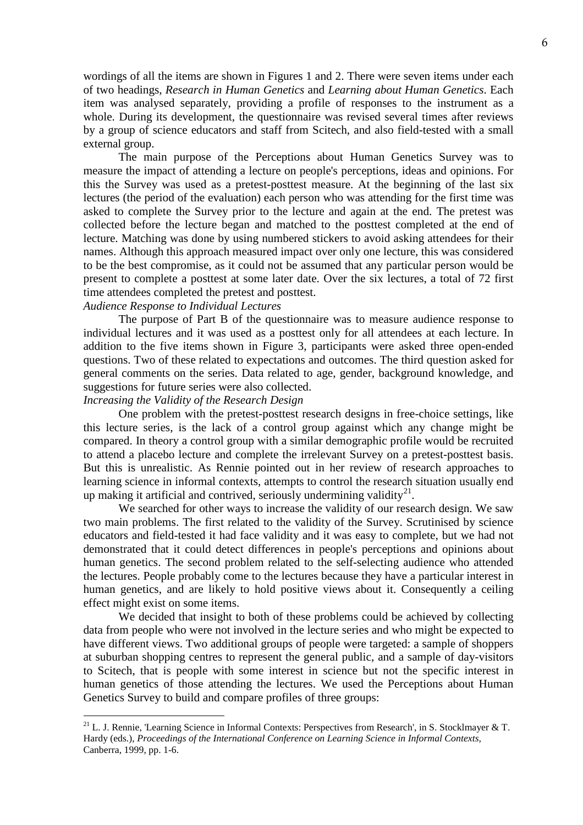wordings of all the items are shown in Figures 1 and 2. There were seven items under each of two headings, *Research in Human Genetics* and *Learning about Human Genetics*. Each item was analysed separately, providing a profile of responses to the instrument as a whole. During its development, the questionnaire was revised several times after reviews by a group of science educators and staff from Scitech, and also field-tested with a small external group.

The main purpose of the Perceptions about Human Genetics Survey was to measure the impact of attending a lecture on people's perceptions, ideas and opinions. For this the Survey was used as a pretest-posttest measure. At the beginning of the last six lectures (the period of the evaluation) each person who was attending for the first time was asked to complete the Survey prior to the lecture and again at the end. The pretest was collected before the lecture began and matched to the posttest completed at the end of lecture. Matching was done by using numbered stickers to avoid asking attendees for their names. Although this approach measured impact over only one lecture, this was considered to be the best compromise, as it could not be assumed that any particular person would be present to complete a posttest at some later date. Over the six lectures, a total of 72 first time attendees completed the pretest and posttest.

# *Audience Response to Individual Lectures*

The purpose of Part B of the questionnaire was to measure audience response to individual lectures and it was used as a posttest only for all attendees at each lecture. In addition to the five items shown in Figure 3, participants were asked three open-ended questions. Two of these related to expectations and outcomes. The third question asked for general comments on the series. Data related to age, gender, background knowledge, and suggestions for future series were also collected.

# *Increasing the Validity of the Research Design*

One problem with the pretest-posttest research designs in free-choice settings, like this lecture series, is the lack of a control group against which any change might be compared. In theory a control group with a similar demographic profile would be recruited to attend a placebo lecture and complete the irrelevant Survey on a pretest-posttest basis. But this is unrealistic. As Rennie pointed out in her review of research approaches to learning science in informal contexts, attempts to control the research situation usually end up making it artificial and contrived, seriously undermining validity $^{21}$  $^{21}$  $^{21}$ .

We searched for other ways to increase the validity of our research design. We saw two main problems. The first related to the validity of the Survey. Scrutinised by science educators and field-tested it had face validity and it was easy to complete, but we had not demonstrated that it could detect differences in people's perceptions and opinions about human genetics. The second problem related to the self-selecting audience who attended the lectures. People probably come to the lectures because they have a particular interest in human genetics, and are likely to hold positive views about it. Consequently a ceiling effect might exist on some items.

We decided that insight to both of these problems could be achieved by collecting data from people who were not involved in the lecture series and who might be expected to have different views. Two additional groups of people were targeted: a sample of shoppers at suburban shopping centres to represent the general public, and a sample of day-visitors to Scitech, that is people with some interest in science but not the specific interest in human genetics of those attending the lectures. We used the Perceptions about Human Genetics Survey to build and compare profiles of three groups:

<span id="page-5-0"></span><sup>&</sup>lt;sup>21</sup> L. J. Rennie, 'Learning Science in Informal Contexts: Perspectives from Research', in S. Stocklmayer & T. Hardy (eds.), *Proceedings of the International Conference on Learning Science in Informal Contexts,* Canberra, 1999, pp. 1-6.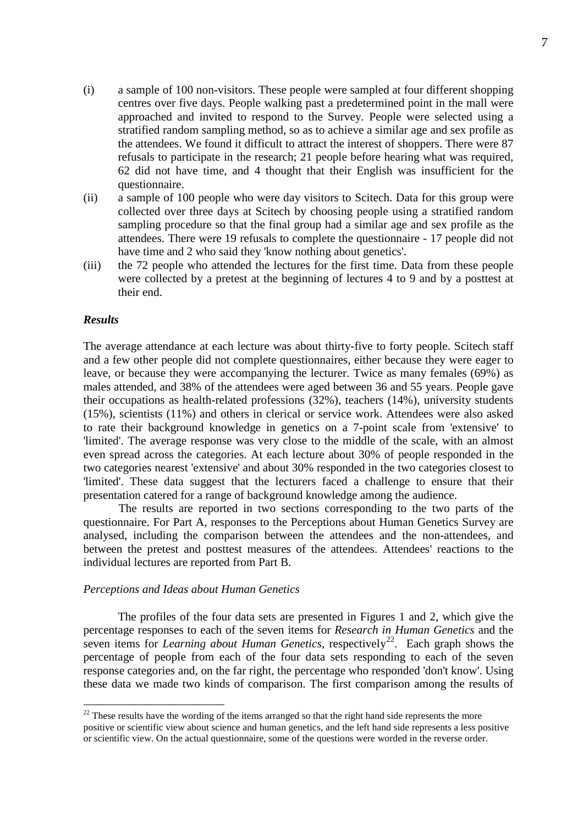- (i) a sample of 100 non-visitors. These people were sampled at four different shopping centres over five days. People walking past a predetermined point in the mall were approached and invited to respond to the Survey. People were selected using a stratified random sampling method, so as to achieve a similar age and sex profile as the attendees. We found it difficult to attract the interest of shoppers. There were 87 refusals to participate in the research; 21 people before hearing what was required, 62 did not have time, and 4 thought that their English was insufficient for the questionnaire.
- (ii) a sample of 100 people who were day visitors to Scitech. Data for this group were collected over three days at Scitech by choosing people using a stratified random sampling procedure so that the final group had a similar age and sex profile as the attendees. There were 19 refusals to complete the questionnaire - 17 people did not have time and 2 who said they 'know nothing about genetics'.
- (iii) the 72 people who attended the lectures for the first time. Data from these people were collected by a pretest at the beginning of lectures 4 to 9 and by a posttest at their end.

### *Results*

The average attendance at each lecture was about thirty-five to forty people. Scitech staff and a few other people did not complete questionnaires, either because they were eager to leave, or because they were accompanying the lecturer. Twice as many females (69%) as males attended, and 38% of the attendees were aged between 36 and 55 years. People gave their occupations as health-related professions (32%), teachers (14%), university students (15%), scientists (11%) and others in clerical or service work. Attendees were also asked to rate their background knowledge in genetics on a 7-point scale from 'extensive' to 'limited'. The average response was very close to the middle of the scale, with an almost even spread across the categories. At each lecture about 30% of people responded in the two categories nearest 'extensive' and about 30% responded in the two categories closest to 'limited'. These data suggest that the lecturers faced a challenge to ensure that their presentation catered for a range of background knowledge among the audience.

The results are reported in two sections corresponding to the two parts of the questionnaire. For Part A, responses to the Perceptions about Human Genetics Survey are analysed, including the comparison between the attendees and the non-attendees, and between the pretest and posttest measures of the attendees. Attendees' reactions to the individual lectures are reported from Part B.

## *Perceptions and Ideas about Human Genetics*

The profiles of the four data sets are presented in Figures 1 and 2, which give the percentage responses to each of the seven items for *Research in Human Genetics* and the seven items for *Learning about Human Genetics*, respectively<sup>[22](#page-6-0)</sup>. Each graph shows the percentage of people from each of the four data sets responding to each of the seven response categories and, on the far right, the percentage who responded 'don't know'. Using these data we made two kinds of comparison. The first comparison among the results of

<span id="page-6-0"></span><sup>&</sup>lt;sup>22</sup> These results have the wording of the items arranged so that the right hand side represents the more positive or scientific view about science and human genetics, and the left hand side represents a less positive or scientific view. On the actual questionnaire, some of the questions were worded in the reverse order.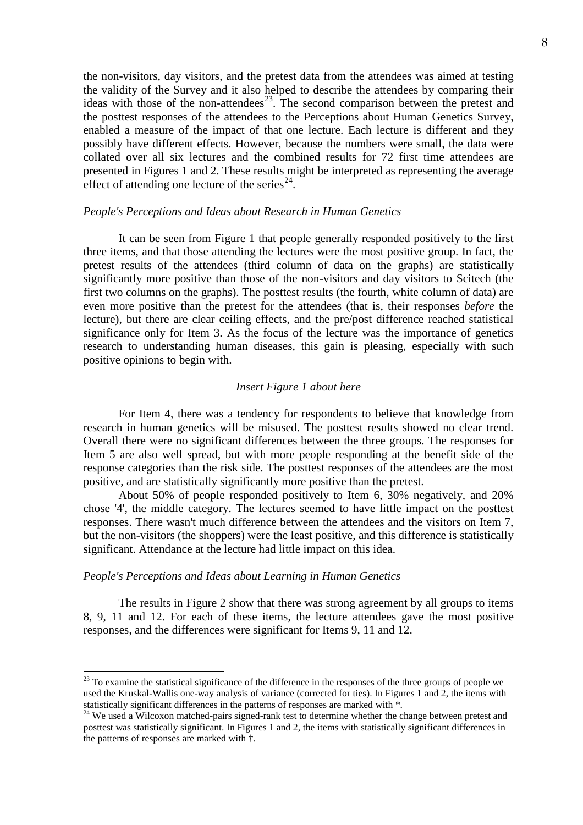the non-visitors, day visitors, and the pretest data from the attendees was aimed at testing the validity of the Survey and it also helped to describe the attendees by comparing their ideas with those of the non-attendees<sup>23</sup>. The second comparison between the pretest and the posttest responses of the attendees to the Perceptions about Human Genetics Survey, enabled a measure of the impact of that one lecture. Each lecture is different and they possibly have different effects. However, because the numbers were small, the data were collated over all six lectures and the combined results for 72 first time attendees are presented in Figures 1 and 2. These results might be interpreted as representing the average effect of attending one lecture of the series<sup>24</sup>.

### *People's Perceptions and Ideas about Research in Human Genetics*

It can be seen from Figure 1 that people generally responded positively to the first three items, and that those attending the lectures were the most positive group. In fact, the pretest results of the attendees (third column of data on the graphs) are statistically significantly more positive than those of the non-visitors and day visitors to Scitech (the first two columns on the graphs). The posttest results (the fourth, white column of data) are even more positive than the pretest for the attendees (that is, their responses *before* the lecture), but there are clear ceiling effects, and the pre/post difference reached statistical significance only for Item 3. As the focus of the lecture was the importance of genetics research to understanding human diseases, this gain is pleasing, especially with such positive opinions to begin with.

### *Insert Figure 1 about here*

For Item 4, there was a tendency for respondents to believe that knowledge from research in human genetics will be misused. The posttest results showed no clear trend. Overall there were no significant differences between the three groups. The responses for Item 5 are also well spread, but with more people responding at the benefit side of the response categories than the risk side. The posttest responses of the attendees are the most positive, and are statistically significantly more positive than the pretest.

About 50% of people responded positively to Item 6, 30% negatively, and 20% chose '4', the middle category. The lectures seemed to have little impact on the posttest responses. There wasn't much difference between the attendees and the visitors on Item 7, but the non-visitors (the shoppers) were the least positive, and this difference is statistically significant. Attendance at the lecture had little impact on this idea.

### *People's Perceptions and Ideas about Learning in Human Genetics*

The results in Figure 2 show that there was strong agreement by all groups to items 8, 9, 11 and 12. For each of these items, the lecture attendees gave the most positive responses, and the differences were significant for Items 9, 11 and 12.

<span id="page-7-0"></span><sup>&</sup>lt;sup>23</sup> To examine the statistical significance of the difference in the responses of the three groups of people we used the Kruskal-Wallis one-way analysis of variance (corrected for ties). In Figures 1 and 2, the items with statistically significant differences in the patterns of responses are marked with \*.

<span id="page-7-1"></span><sup>&</sup>lt;sup>24</sup> We used a Wilcoxon matched-pairs signed-rank test to determine whether the change between pretest and posttest was statistically significant. In Figures 1 and 2, the items with statistically significant differences in the patterns of responses are marked with †.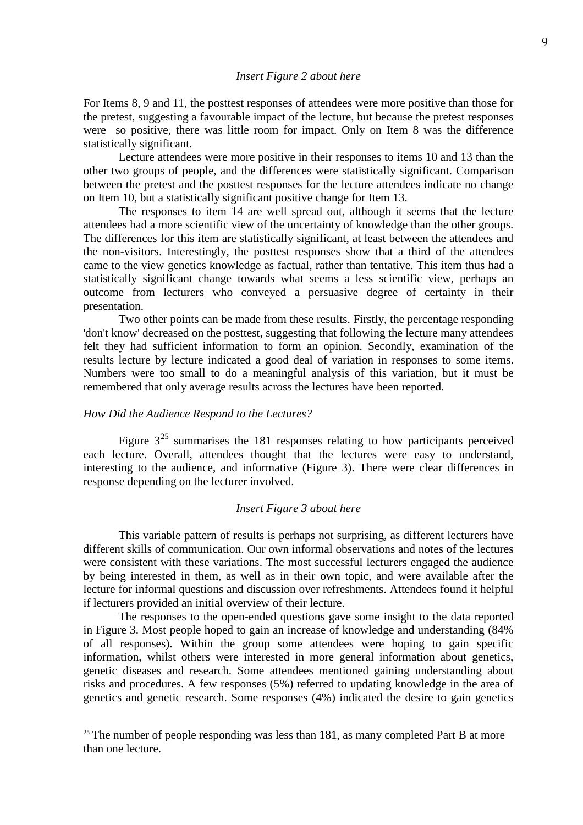#### *Insert Figure 2 about here*

For Items 8, 9 and 11, the posttest responses of attendees were more positive than those for the pretest, suggesting a favourable impact of the lecture, but because the pretest responses were so positive, there was little room for impact. Only on Item 8 was the difference statistically significant.

Lecture attendees were more positive in their responses to items 10 and 13 than the other two groups of people, and the differences were statistically significant. Comparison between the pretest and the posttest responses for the lecture attendees indicate no change on Item 10, but a statistically significant positive change for Item 13.

The responses to item 14 are well spread out, although it seems that the lecture attendees had a more scientific view of the uncertainty of knowledge than the other groups. The differences for this item are statistically significant, at least between the attendees and the non-visitors. Interestingly, the posttest responses show that a third of the attendees came to the view genetics knowledge as factual, rather than tentative. This item thus had a statistically significant change towards what seems a less scientific view, perhaps an outcome from lecturers who conveyed a persuasive degree of certainty in their presentation.

Two other points can be made from these results. Firstly, the percentage responding 'don't know' decreased on the posttest, suggesting that following the lecture many attendees felt they had sufficient information to form an opinion. Secondly, examination of the results lecture by lecture indicated a good deal of variation in responses to some items. Numbers were too small to do a meaningful analysis of this variation, but it must be remembered that only average results across the lectures have been reported.

# *How Did the Audience Respond to the Lectures?*

Figure  $3^{25}$  $3^{25}$  $3^{25}$  summarises the 181 responses relating to how participants perceived each lecture. Overall, attendees thought that the lectures were easy to understand, interesting to the audience, and informative (Figure 3). There were clear differences in response depending on the lecturer involved.

#### *Insert Figure 3 about here*

This variable pattern of results is perhaps not surprising, as different lecturers have different skills of communication. Our own informal observations and notes of the lectures were consistent with these variations. The most successful lecturers engaged the audience by being interested in them, as well as in their own topic, and were available after the lecture for informal questions and discussion over refreshments. Attendees found it helpful if lecturers provided an initial overview of their lecture.

The responses to the open-ended questions gave some insight to the data reported in Figure 3. Most people hoped to gain an increase of knowledge and understanding (84% of all responses). Within the group some attendees were hoping to gain specific information, whilst others were interested in more general information about genetics, genetic diseases and research. Some attendees mentioned gaining understanding about risks and procedures. A few responses (5%) referred to updating knowledge in the area of genetics and genetic research. Some responses (4%) indicated the desire to gain genetics

<span id="page-8-0"></span><sup>&</sup>lt;sup>25</sup> The number of people responding was less than 181, as many completed Part B at more than one lecture.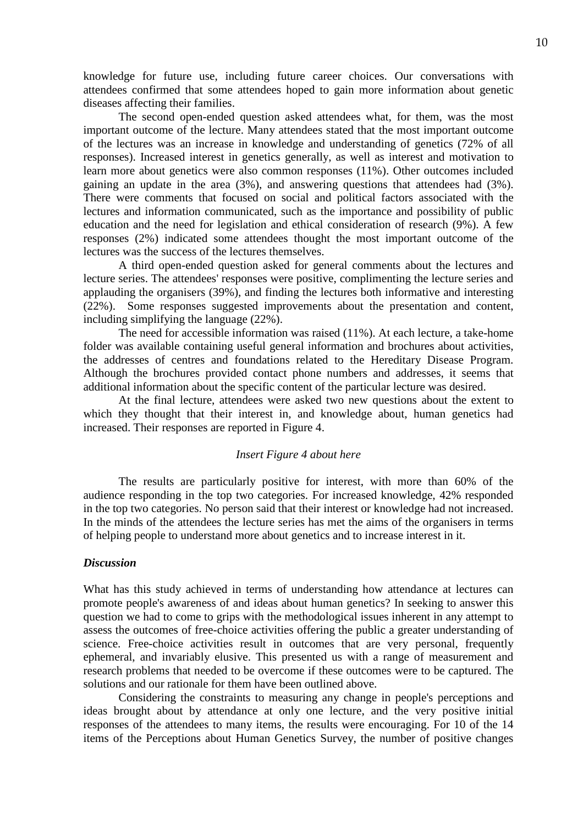knowledge for future use, including future career choices. Our conversations with attendees confirmed that some attendees hoped to gain more information about genetic diseases affecting their families.

The second open-ended question asked attendees what, for them, was the most important outcome of the lecture. Many attendees stated that the most important outcome of the lectures was an increase in knowledge and understanding of genetics (72% of all responses). Increased interest in genetics generally, as well as interest and motivation to learn more about genetics were also common responses (11%). Other outcomes included gaining an update in the area (3%), and answering questions that attendees had (3%). There were comments that focused on social and political factors associated with the lectures and information communicated, such as the importance and possibility of public education and the need for legislation and ethical consideration of research (9%). A few responses (2%) indicated some attendees thought the most important outcome of the lectures was the success of the lectures themselves.

A third open-ended question asked for general comments about the lectures and lecture series. The attendees' responses were positive, complimenting the lecture series and applauding the organisers (39%), and finding the lectures both informative and interesting (22%). Some responses suggested improvements about the presentation and content, including simplifying the language (22%).

The need for accessible information was raised (11%). At each lecture, a take-home folder was available containing useful general information and brochures about activities, the addresses of centres and foundations related to the Hereditary Disease Program. Although the brochures provided contact phone numbers and addresses, it seems that additional information about the specific content of the particular lecture was desired.

At the final lecture, attendees were asked two new questions about the extent to which they thought that their interest in, and knowledge about, human genetics had increased. Their responses are reported in Figure 4.

#### *Insert Figure 4 about here*

The results are particularly positive for interest, with more than 60% of the audience responding in the top two categories. For increased knowledge, 42% responded in the top two categories. No person said that their interest or knowledge had not increased. In the minds of the attendees the lecture series has met the aims of the organisers in terms of helping people to understand more about genetics and to increase interest in it.

## *Discussion*

What has this study achieved in terms of understanding how attendance at lectures can promote people's awareness of and ideas about human genetics? In seeking to answer this question we had to come to grips with the methodological issues inherent in any attempt to assess the outcomes of free-choice activities offering the public a greater understanding of science. Free-choice activities result in outcomes that are very personal, frequently ephemeral, and invariably elusive. This presented us with a range of measurement and research problems that needed to be overcome if these outcomes were to be captured. The solutions and our rationale for them have been outlined above.

Considering the constraints to measuring any change in people's perceptions and ideas brought about by attendance at only one lecture, and the very positive initial responses of the attendees to many items, the results were encouraging. For 10 of the 14 items of the Perceptions about Human Genetics Survey, the number of positive changes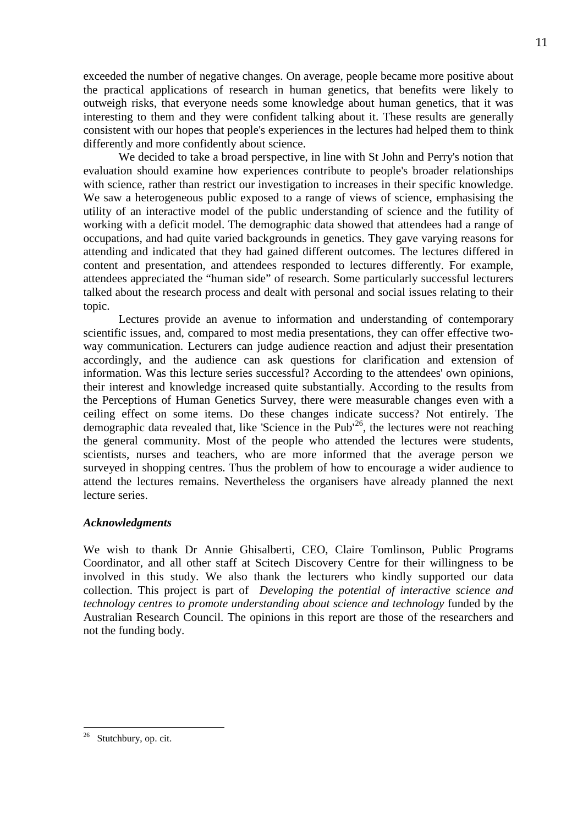exceeded the number of negative changes. On average, people became more positive about the practical applications of research in human genetics, that benefits were likely to outweigh risks, that everyone needs some knowledge about human genetics, that it was interesting to them and they were confident talking about it. These results are generally consistent with our hopes that people's experiences in the lectures had helped them to think differently and more confidently about science.

We decided to take a broad perspective, in line with St John and Perry's notion that evaluation should examine how experiences contribute to people's broader relationships with science, rather than restrict our investigation to increases in their specific knowledge. We saw a heterogeneous public exposed to a range of views of science, emphasising the utility of an interactive model of the public understanding of science and the futility of working with a deficit model. The demographic data showed that attendees had a range of occupations, and had quite varied backgrounds in genetics. They gave varying reasons for attending and indicated that they had gained different outcomes. The lectures differed in content and presentation, and attendees responded to lectures differently. For example, attendees appreciated the "human side" of research. Some particularly successful lecturers talked about the research process and dealt with personal and social issues relating to their topic.

Lectures provide an avenue to information and understanding of contemporary scientific issues, and, compared to most media presentations, they can offer effective twoway communication. Lecturers can judge audience reaction and adjust their presentation accordingly, and the audience can ask questions for clarification and extension of information. Was this lecture series successful? According to the attendees' own opinions, their interest and knowledge increased quite substantially. According to the results from the Perceptions of Human Genetics Survey, there were measurable changes even with a ceiling effect on some items. Do these changes indicate success? Not entirely. The demographic data revealed that, like 'Science in the Pub<sup>'26</sup>, the lectures were not reaching the general community. Most of the people who attended the lectures were students, scientists, nurses and teachers, who are more informed that the average person we surveyed in shopping centres. Thus the problem of how to encourage a wider audience to attend the lectures remains. Nevertheless the organisers have already planned the next lecture series.

# *Acknowledgments*

We wish to thank Dr Annie Ghisalberti, CEO, Claire Tomlinson, Public Programs Coordinator, and all other staff at Scitech Discovery Centre for their willingness to be involved in this study. We also thank the lecturers who kindly supported our data collection. This project is part of *Developing the potential of interactive science and technology centres to promote understanding about science and technology funded by the* Australian Research Council. The opinions in this report are those of the researchers and not the funding body.

<span id="page-10-0"></span>Stutchbury, op. cit.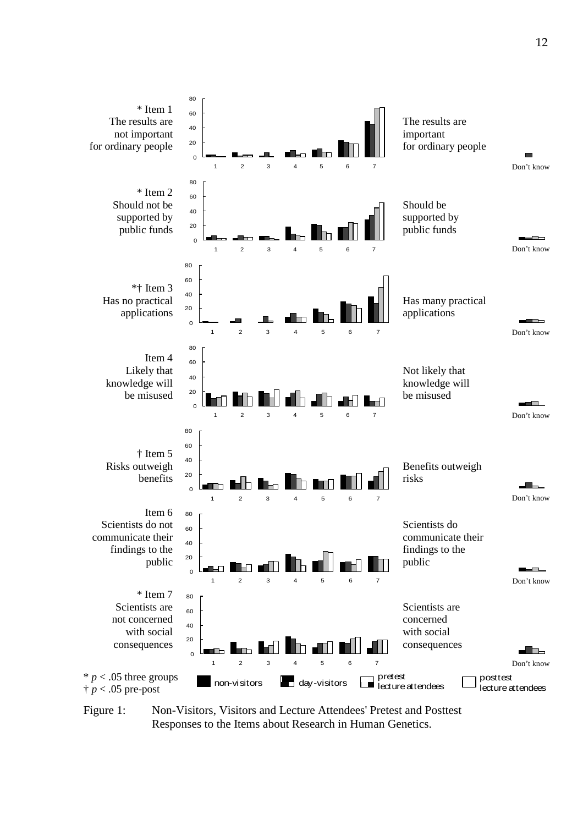

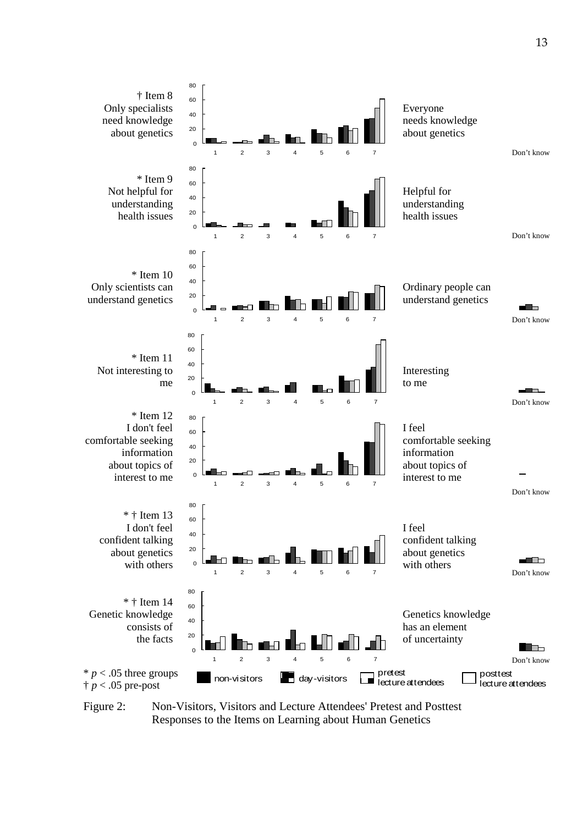



Figure 2: Non-Visitors, Visitors and Lecture Attendees' Pretest and Posttest Responses to the Items on Learning about Human Genetics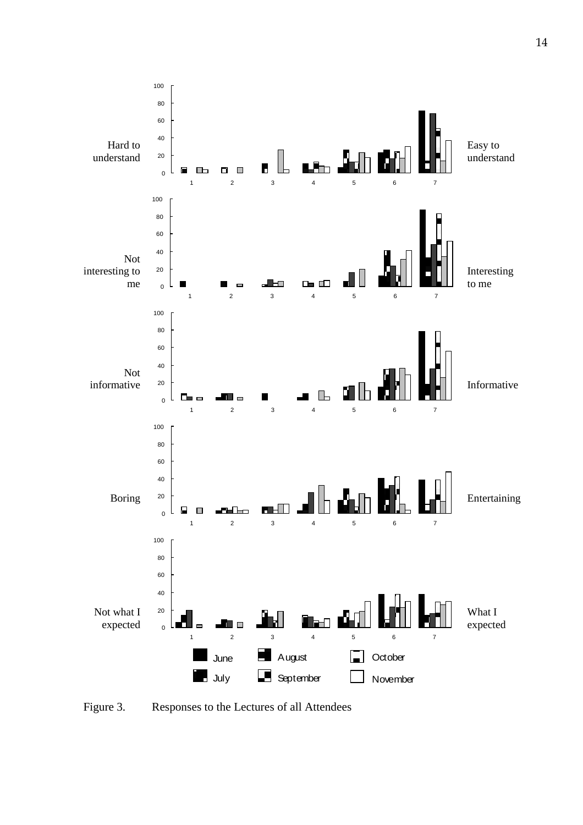

Figure 3. Responses to the Lectures of all Attendees